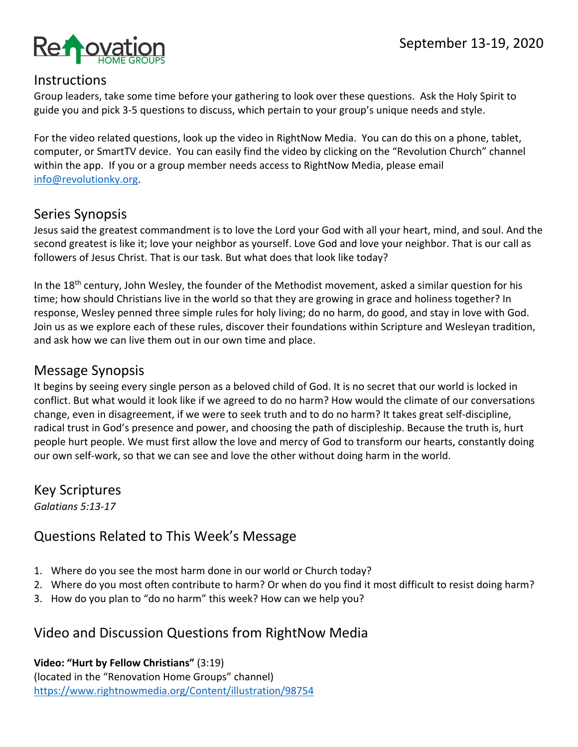

#### **Instructions**

Group leaders, take some time before your gathering to look over these questions. Ask the Holy Spirit to guide you and pick 3-5 questions to discuss, which pertain to your group's unique needs and style.

For the video related questions, look up the video in RightNow Media. You can do this on a phone, tablet, computer, or SmartTV device. You can easily find the video by clicking on the "Revolution Church" channel within the app. If you or a group member needs access to RightNow Media, please email info@revolutionky.org.

## Series Synopsis

Jesus said the greatest commandment is to love the Lord your God with all your heart, mind, and soul. And the second greatest is like it; love your neighbor as yourself. Love God and love your neighbor. That is our call as followers of Jesus Christ. That is our task. But what does that look like today?

In the 18<sup>th</sup> century, John Wesley, the founder of the Methodist movement, asked a similar question for his time; how should Christians live in the world so that they are growing in grace and holiness together? In response, Wesley penned three simple rules for holy living; do no harm, do good, and stay in love with God. Join us as we explore each of these rules, discover their foundations within Scripture and Wesleyan tradition, and ask how we can live them out in our own time and place.

#### Message Synopsis

It begins by seeing every single person as a beloved child of God. It is no secret that our world is locked in conflict. But what would it look like if we agreed to do no harm? How would the climate of our conversations change, even in disagreement, if we were to seek truth and to do no harm? It takes great self-discipline, radical trust in God's presence and power, and choosing the path of discipleship. Because the truth is, hurt people hurt people. We must first allow the love and mercy of God to transform our hearts, constantly doing our own self-work, so that we can see and love the other without doing harm in the world.

Key Scriptures *Galatians 5:13-17*

# Questions Related to This Week's Message

- 1. Where do you see the most harm done in our world or Church today?
- 2. Where do you most often contribute to harm? Or when do you find it most difficult to resist doing harm?
- 3. How do you plan to "do no harm" this week? How can we help you?

## Video and Discussion Questions from RightNow Media

**Video: "Hurt by Fellow Christians"** (3:19) (located in the "Renovation Home Groups" channel) https://www.rightnowmedia.org/Content/illustration/98754